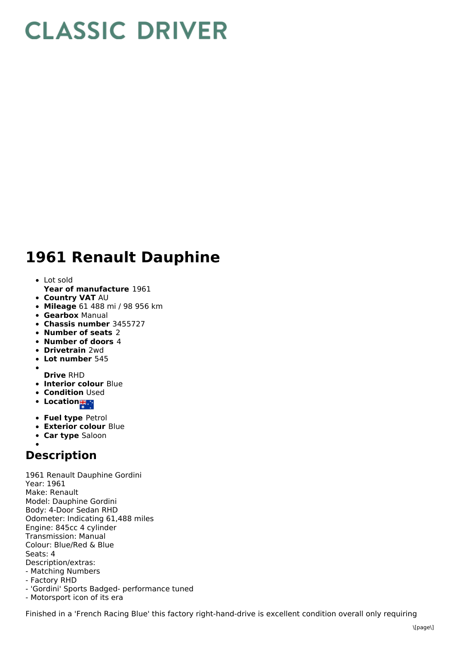## **CLASSIC DRIVER**

## **1961 Renault Dauphine**

- Lot sold
- **Year of manufacture** 1961
- **Country VAT** AU
- **Mileage** 61 488 mi / 98 956 km
- **Gearbox** Manual
- **Chassis number** 3455727
- **Number of seats** 2
- **Number of doors** 4
- **Drivetrain** 2wd
- **Lot number** 545
- $\bullet$ **Drive** RHD
- **Interior colour** Blue
- **Condition** Used
- Location<sub>is</sub>
- **Fuel type** Petrol
- **Exterior colour** Blue
- **Car type** Saloon

## **Description**

1961 Renault Dauphine Gordini Year: 1961 Make: Renault Model: Dauphine Gordini Body: 4-Door Sedan RHD Odometer: Indicating 61,488 miles Engine: 845cc 4 cylinder Transmission: Manual Colour: Blue/Red & Blue Seats: 4 Description/extras: - Matching Numbers - Factory RHD

- 'Gordini' Sports Badged- performance tuned
- Motorsport icon of its era

Finished in a 'French Racing Blue' this factory right-hand-drive is excellent condition overall only requiring